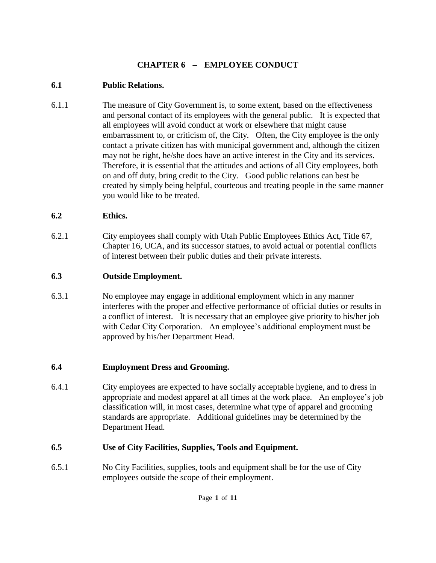# **CHAPTER 6 – EMPLOYEE CONDUCT**

#### **6.1 Public Relations.**

6.1.1 The measure of City Government is, to some extent, based on the effectiveness and personal contact of its employees with the general public. It is expected that all employees will avoid conduct at work or elsewhere that might cause embarrassment to, or criticism of, the City. Often, the City employee is the only contact a private citizen has with municipal government and, although the citizen may not be right, he/she does have an active interest in the City and its services. Therefore, it is essential that the attitudes and actions of all City employees, both on and off duty, bring credit to the City. Good public relations can best be created by simply being helpful, courteous and treating people in the same manner you would like to be treated.

#### **6.2 Ethics.**

6.2.1 City employees shall comply with Utah Public Employees Ethics Act, Title 67, Chapter 16, UCA, and its successor statues, to avoid actual or potential conflicts of interest between their public duties and their private interests.

# **6.3 Outside Employment.**

6.3.1 No employee may engage in additional employment which in any manner interferes with the proper and effective performance of official duties or results in a conflict of interest. It is necessary that an employee give priority to his/her job with Cedar City Corporation. An employee's additional employment must be approved by his/her Department Head.

# **6.4 Employment Dress and Grooming.**

6.4.1 City employees are expected to have socially acceptable hygiene, and to dress in appropriate and modest apparel at all times at the work place. An employee's job classification will, in most cases, determine what type of apparel and grooming standards are appropriate. Additional guidelines may be determined by the Department Head.

# **6.5 Use of City Facilities, Supplies, Tools and Equipment.**

6.5.1 No City Facilities, supplies, tools and equipment shall be for the use of City employees outside the scope of their employment.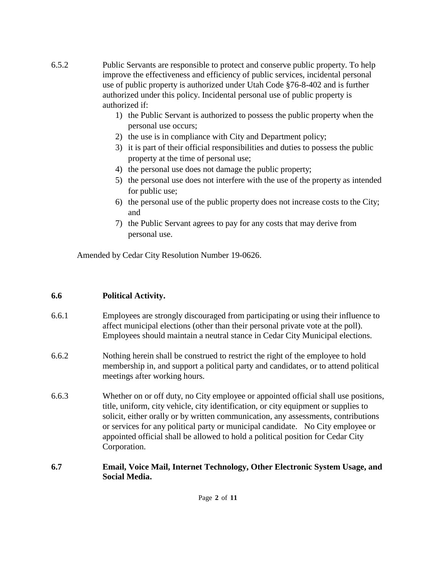- 6.5.2 Public Servants are responsible to protect and conserve public property. To help improve the effectiveness and efficiency of public services, incidental personal use of public property is authorized under Utah Code §76-8-402 and is further authorized under this policy. Incidental personal use of public property is authorized if:
	- 1) the Public Servant is authorized to possess the public property when the personal use occurs;
	- 2) the use is in compliance with City and Department policy;
	- 3) it is part of their official responsibilities and duties to possess the public property at the time of personal use;
	- 4) the personal use does not damage the public property;
	- 5) the personal use does not interfere with the use of the property as intended for public use;
	- 6) the personal use of the public property does not increase costs to the City; and
	- 7) the Public Servant agrees to pay for any costs that may derive from personal use.

Amended by Cedar City Resolution Number 19-0626.

# **6.6 Political Activity.**

- 6.6.1 Employees are strongly discouraged from participating or using their influence to affect municipal elections (other than their personal private vote at the poll). Employees should maintain a neutral stance in Cedar City Municipal elections.
- 6.6.2 Nothing herein shall be construed to restrict the right of the employee to hold membership in, and support a political party and candidates, or to attend political meetings after working hours.
- 6.6.3 Whether on or off duty, no City employee or appointed official shall use positions, title, uniform, city vehicle, city identification, or city equipment or supplies to solicit, either orally or by written communication, any assessments, contributions or services for any political party or municipal candidate. No City employee or appointed official shall be allowed to hold a political position for Cedar City Corporation.
- **6.7 Email, Voice Mail, Internet Technology, Other Electronic System Usage, and Social Media.**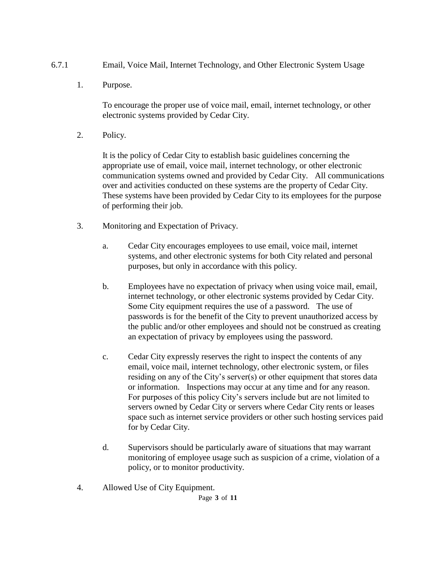- 6.7.1 Email, Voice Mail, Internet Technology, and Other Electronic System Usage
	- 1. Purpose.

To encourage the proper use of voice mail, email, internet technology, or other electronic systems provided by Cedar City.

2. Policy.

It is the policy of Cedar City to establish basic guidelines concerning the appropriate use of email, voice mail, internet technology, or other electronic communication systems owned and provided by Cedar City. All communications over and activities conducted on these systems are the property of Cedar City. These systems have been provided by Cedar City to its employees for the purpose of performing their job.

- 3. Monitoring and Expectation of Privacy.
	- a. Cedar City encourages employees to use email, voice mail, internet systems, and other electronic systems for both City related and personal purposes, but only in accordance with this policy.
	- b. Employees have no expectation of privacy when using voice mail, email, internet technology, or other electronic systems provided by Cedar City. Some City equipment requires the use of a password. The use of passwords is for the benefit of the City to prevent unauthorized access by the public and/or other employees and should not be construed as creating an expectation of privacy by employees using the password.
	- c. Cedar City expressly reserves the right to inspect the contents of any email, voice mail, internet technology, other electronic system, or files residing on any of the City's server(s) or other equipment that stores data or information. Inspections may occur at any time and for any reason. For purposes of this policy City's servers include but are not limited to servers owned by Cedar City or servers where Cedar City rents or leases space such as internet service providers or other such hosting services paid for by Cedar City.
	- d. Supervisors should be particularly aware of situations that may warrant monitoring of employee usage such as suspicion of a crime, violation of a policy, or to monitor productivity.
- 4. Allowed Use of City Equipment.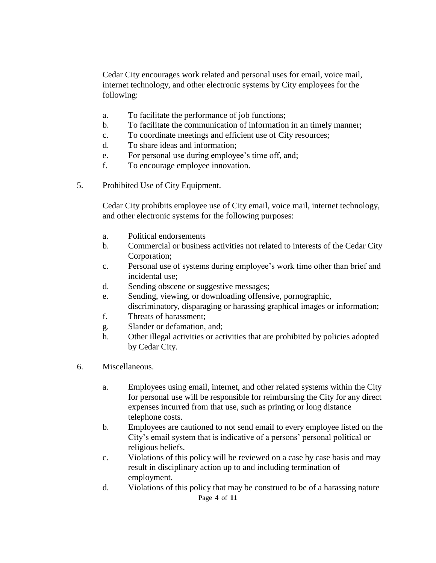Cedar City encourages work related and personal uses for email, voice mail, internet technology, and other electronic systems by City employees for the following:

- a. To facilitate the performance of job functions;
- b. To facilitate the communication of information in an timely manner;
- c. To coordinate meetings and efficient use of City resources;
- d. To share ideas and information;
- e. For personal use during employee's time off, and;
- f. To encourage employee innovation.
- 5. Prohibited Use of City Equipment.

Cedar City prohibits employee use of City email, voice mail, internet technology, and other electronic systems for the following purposes:

- a. Political endorsements
- b. Commercial or business activities not related to interests of the Cedar City Corporation;
- c. Personal use of systems during employee's work time other than brief and incidental use;
- d. Sending obscene or suggestive messages;
- e. Sending, viewing, or downloading offensive, pornographic, discriminatory, disparaging or harassing graphical images or information;
- f. Threats of harassment;
- g. Slander or defamation, and;
- h. Other illegal activities or activities that are prohibited by policies adopted by Cedar City.
- 6. Miscellaneous.
	- a. Employees using email, internet, and other related systems within the City for personal use will be responsible for reimbursing the City for any direct expenses incurred from that use, such as printing or long distance telephone costs.
	- b. Employees are cautioned to not send email to every employee listed on the City's email system that is indicative of a persons' personal political or religious beliefs.
	- c. Violations of this policy will be reviewed on a case by case basis and may result in disciplinary action up to and including termination of employment.
	- Page **4** of **11** d. Violations of this policy that may be construed to be of a harassing nature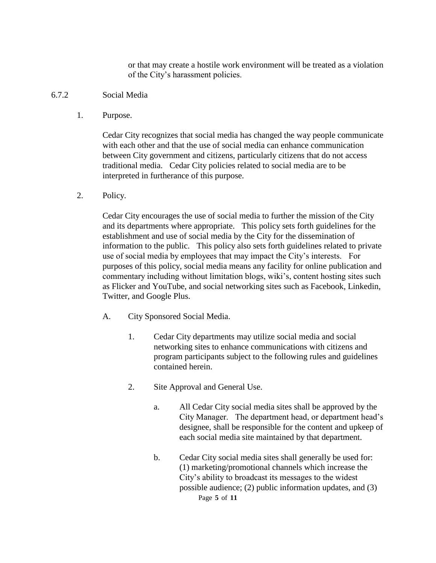or that may create a hostile work environment will be treated as a violation of the City's harassment policies.

- 6.7.2 Social Media
	- 1. Purpose.

Cedar City recognizes that social media has changed the way people communicate with each other and that the use of social media can enhance communication between City government and citizens, particularly citizens that do not access traditional media. Cedar City policies related to social media are to be interpreted in furtherance of this purpose.

2. Policy.

Cedar City encourages the use of social media to further the mission of the City and its departments where appropriate. This policy sets forth guidelines for the establishment and use of social media by the City for the dissemination of information to the public. This policy also sets forth guidelines related to private use of social media by employees that may impact the City's interests. For purposes of this policy, social media means any facility for online publication and commentary including without limitation blogs, wiki's, content hosting sites such as Flicker and YouTube, and social networking sites such as Facebook, Linkedin, Twitter, and Google Plus.

- A. City Sponsored Social Media.
	- 1. Cedar City departments may utilize social media and social networking sites to enhance communications with citizens and program participants subject to the following rules and guidelines contained herein.
	- 2. Site Approval and General Use.
		- a. All Cedar City social media sites shall be approved by the City Manager. The department head, or department head's designee, shall be responsible for the content and upkeep of each social media site maintained by that department.
		- Page **5** of **11** b. Cedar City social media sites shall generally be used for: (1) marketing/promotional channels which increase the City's ability to broadcast its messages to the widest possible audience; (2) public information updates, and (3)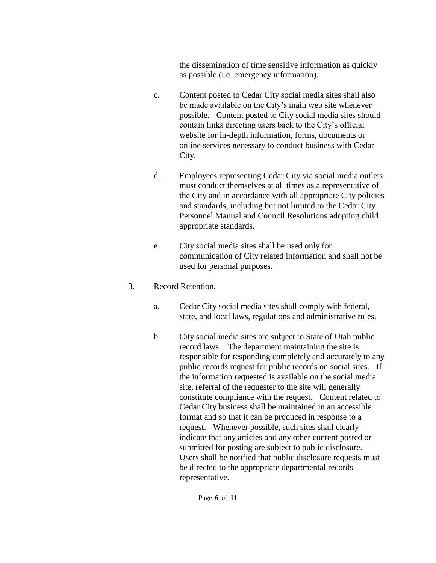the dissemination of time sensitive information as quickly as possible (i.e. emergency information).

- c. Content posted to Cedar City social media sites shall also be made available on the City's main web site whenever possible. Content posted to City social media sites should contain links directing users back to the City's official website for in-depth information, forms, documents or online services necessary to conduct business with Cedar City.
- d. Employees representing Cedar City via social media outlets must conduct themselves at all times as a representative of the City and in accordance with all appropriate City policies and standards, including but not limited to the Cedar City Personnel Manual and Council Resolutions adopting child appropriate standards.
- e. City social media sites shall be used only for communication of City related information and shall not be used for personal purposes.
- 3. Record Retention.
	- a. Cedar City social media sites shall comply with federal, state, and local laws, regulations and administrative rules.
	- b. City social media sites are subject to State of Utah public record laws. The department maintaining the site is responsible for responding completely and accurately to any public records request for public records on social sites. If the information requested is available on the social media site, referral of the requester to the site will generally constitute compliance with the request. Content related to Cedar City business shall be maintained in an accessible format and so that it can be produced in response to a request. Whenever possible, such sites shall clearly indicate that any articles and any other content posted or submitted for posting are subject to public disclosure. Users shall be notified that public disclosure requests must be directed to the appropriate departmental records representative.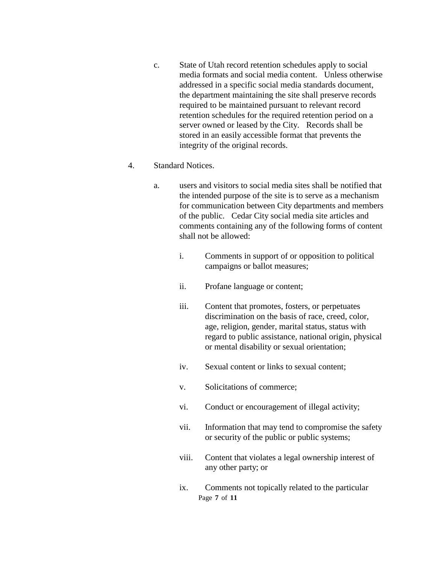c. State of Utah record retention schedules apply to social media formats and social media content. Unless otherwise addressed in a specific social media standards document, the department maintaining the site shall preserve records required to be maintained pursuant to relevant record retention schedules for the required retention period on a server owned or leased by the City. Records shall be stored in an easily accessible format that prevents the integrity of the original records.

#### 4. Standard Notices.

- a. users and visitors to social media sites shall be notified that the intended purpose of the site is to serve as a mechanism for communication between City departments and members of the public. Cedar City social media site articles and comments containing any of the following forms of content shall not be allowed:
	- i. Comments in support of or opposition to political campaigns or ballot measures;
	- ii. Profane language or content;
	- iii. Content that promotes, fosters, or perpetuates discrimination on the basis of race, creed, color, age, religion, gender, marital status, status with regard to public assistance, national origin, physical or mental disability or sexual orientation;
	- iv. Sexual content or links to sexual content;
	- v. Solicitations of commerce;
	- vi. Conduct or encouragement of illegal activity;
	- vii. Information that may tend to compromise the safety or security of the public or public systems;
	- viii. Content that violates a legal ownership interest of any other party; or
	- Page **7** of **11** ix. Comments not topically related to the particular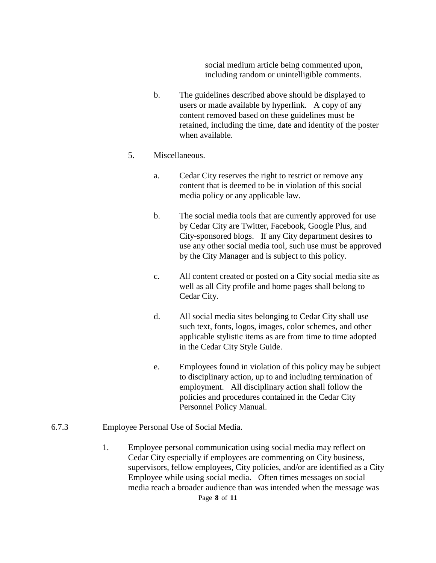social medium article being commented upon, including random or unintelligible comments.

b. The guidelines described above should be displayed to users or made available by hyperlink. A copy of any content removed based on these guidelines must be retained, including the time, date and identity of the poster when available.

#### 5. Miscellaneous.

- a. Cedar City reserves the right to restrict or remove any content that is deemed to be in violation of this social media policy or any applicable law.
- b. The social media tools that are currently approved for use by Cedar City are Twitter, Facebook, Google Plus, and City-sponsored blogs. If any City department desires to use any other social media tool, such use must be approved by the City Manager and is subject to this policy.
- c. All content created or posted on a City social media site as well as all City profile and home pages shall belong to Cedar City.
- d. All social media sites belonging to Cedar City shall use such text, fonts, logos, images, color schemes, and other applicable stylistic items as are from time to time adopted in the Cedar City Style Guide.
- e. Employees found in violation of this policy may be subject to disciplinary action, up to and including termination of employment. All disciplinary action shall follow the policies and procedures contained in the Cedar City Personnel Policy Manual.
- 6.7.3 Employee Personal Use of Social Media.
	- 1. Employee personal communication using social media may reflect on Cedar City especially if employees are commenting on City business, supervisors, fellow employees, City policies, and/or are identified as a City Employee while using social media. Often times messages on social media reach a broader audience than was intended when the message was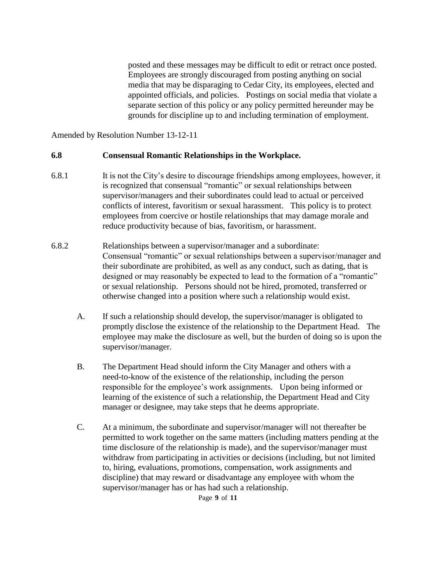posted and these messages may be difficult to edit or retract once posted. Employees are strongly discouraged from posting anything on social media that may be disparaging to Cedar City, its employees, elected and appointed officials, and policies. Postings on social media that violate a separate section of this policy or any policy permitted hereunder may be grounds for discipline up to and including termination of employment.

Amended by Resolution Number 13-12-11

#### **6.8 Consensual Romantic Relationships in the Workplace.**

- 6.8.1 It is not the City's desire to discourage friendships among employees, however, it is recognized that consensual "romantic" or sexual relationships between supervisor/managers and their subordinates could lead to actual or perceived conflicts of interest, favoritism or sexual harassment. This policy is to protect employees from coercive or hostile relationships that may damage morale and reduce productivity because of bias, favoritism, or harassment.
- 6.8.2 Relationships between a supervisor/manager and a subordinate: Consensual "romantic" or sexual relationships between a supervisor/manager and their subordinate are prohibited, as well as any conduct, such as dating, that is designed or may reasonably be expected to lead to the formation of a "romantic" or sexual relationship. Persons should not be hired, promoted, transferred or otherwise changed into a position where such a relationship would exist.
	- A. If such a relationship should develop, the supervisor/manager is obligated to promptly disclose the existence of the relationship to the Department Head. The employee may make the disclosure as well, but the burden of doing so is upon the supervisor/manager.
	- B. The Department Head should inform the City Manager and others with a need-to-know of the existence of the relationship, including the person responsible for the employee's work assignments. Upon being informed or learning of the existence of such a relationship, the Department Head and City manager or designee, may take steps that he deems appropriate.
	- C. At a minimum, the subordinate and supervisor/manager will not thereafter be permitted to work together on the same matters (including matters pending at the time disclosure of the relationship is made), and the supervisor/manager must withdraw from participating in activities or decisions (including, but not limited to, hiring, evaluations, promotions, compensation, work assignments and discipline) that may reward or disadvantage any employee with whom the supervisor/manager has or has had such a relationship.

Page **9** of **11**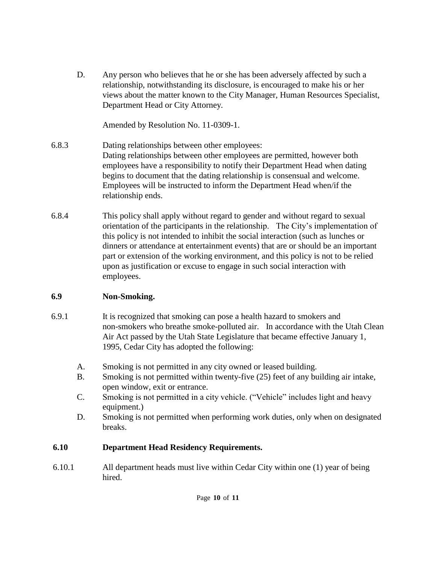D. Any person who believes that he or she has been adversely affected by such a relationship, notwithstanding its disclosure, is encouraged to make his or her views about the matter known to the City Manager, Human Resources Specialist, Department Head or City Attorney.

Amended by Resolution No. 11-0309-1.

- 6.8.3 Dating relationships between other employees: Dating relationships between other employees are permitted, however both employees have a responsibility to notify their Department Head when dating begins to document that the dating relationship is consensual and welcome. Employees will be instructed to inform the Department Head when/if the relationship ends.
- 6.8.4 This policy shall apply without regard to gender and without regard to sexual orientation of the participants in the relationship. The City's implementation of this policy is not intended to inhibit the social interaction (such as lunches or dinners or attendance at entertainment events) that are or should be an important part or extension of the working environment, and this policy is not to be relied upon as justification or excuse to engage in such social interaction with employees.

# **6.9 Non-Smoking.**

- 6.9.1 It is recognized that smoking can pose a health hazard to smokers and non-smokers who breathe smoke-polluted air. In accordance with the Utah Clean Air Act passed by the Utah State Legislature that became effective January 1, 1995, Cedar City has adopted the following:
	- A. Smoking is not permitted in any city owned or leased building.
	- B. Smoking is not permitted within twenty-five (25) feet of any building air intake, open window, exit or entrance.
	- C. Smoking is not permitted in a city vehicle. ("Vehicle" includes light and heavy equipment.)
	- D. Smoking is not permitted when performing work duties, only when on designated breaks.

# **6.10 Department Head Residency Requirements.**

 6.10.1 All department heads must live within Cedar City within one (1) year of being hired.